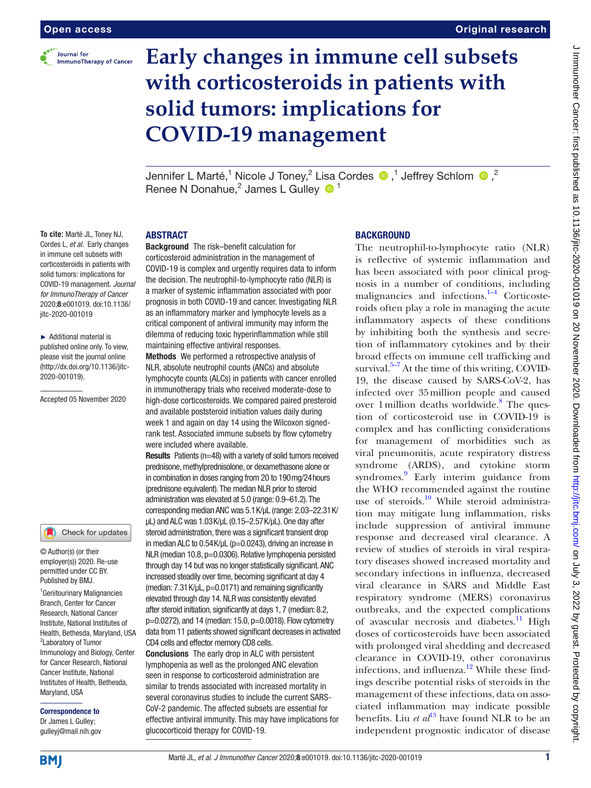

**To cite:** Marté JL, Toney NJ, Cordes L, *et al*. Early changes in immune cell subsets with corticosteroids in patients with solid tumors: implications for COVID-19 management. *Journal for ImmunoTherapy of Cancer* 2020;8:e001019. doi:10.1136/

jitc-2020-001019

2020-001019).

► Additional material is published online only. To view, please visit the journal online (http://dx.doi.org/10.1136/jitc-

Accepted 05 November 2020

1 Genitourinary Malignancies Branch, Center for Cancer Research, National Cancer Institute, National Institutes of Health, Bethesda, Maryland, USA 2 Laboratory of Tumor Immunology and Biology, Center for Cancer Research, National Cancer Institute, National Institutes of Health, Bethesda,

Check for updates

© Author(s) (or their employer(s)) 2020. Re-use permitted under CC BY. Published by BMJ.

# **Early changes in immune cell subsets with corticosteroids in patients with solid tumors: implications for COVID-19 management**

Jennifer L Marté,<sup>1</sup> Nicole J Toney,<sup>2</sup> Lisa Cordes  $\bullet$  ,<sup>1</sup> Jeffrey Schlom  $\bullet$  ,<sup>2</sup> Renee N Donahue,<sup>2</sup> James L Gulley  $\bullet$ <sup>1</sup>

## ABSTRACT

Background The risk–benefit calculation for corticosteroid administration in the management of COVID-19 is complex and urgently requires data to inform the decision. The neutrophil-to-lymphocyte ratio (NLR) is a marker of systemic inflammation associated with poor prognosis in both COVID-19 and cancer. Investigating NLR as an inflammatory marker and lymphocyte levels as a critical component of antiviral immunity may inform the dilemma of reducing toxic hyperinflammation while still maintaining effective antiviral responses.

Methods We performed a retrospective analysis of NLR, absolute neutrophil counts (ANCs) and absolute lymphocyte counts (ALCs) in patients with cancer enrolled in immunotherapy trials who received moderate-dose to high-dose corticosteroids. We compared paired presteroid and available poststeroid initiation values daily during week 1 and again on day 14 using the Wilcoxon signedrank test. Associated immune subsets by flow cytometry were included where available.

Results Patients (n=48) with a variety of solid tumors received prednisone, methylprednisolone, or dexamethasone alone or in combination in doses ranging from 20 to 190mg/24hours (prednisone equivalent). The median NLR prior to steroid administration was elevated at 5.0 (range: 0.9–61.2). The corresponding median ANC was 5.1K/µL (range: 2.03–22.31K/ µL) and ALC was 1.03K/µL (0.15–2.57K/µL). One day after steroid administration, there was a significant transient drop in median ALC to  $0.54$  K/ $\mu$ L (p=0.0243), driving an increase in NLR (median 10.8, p=0.0306). Relative lymphopenia persisted through day 14 but was no longer statistically significant. ANC increased steadily over time, becoming significant at day 4 (median:  $7.31$  K/ $\mu$ L,  $p=0.0171$ ) and remaining significantly elevated through day 14. NLR was consistently elevated after steroid initiation, significantly at days 1, 7 (median: 8.2, p=0.0272), and 14 (median: 15.0, p=0.0018). Flow cytometry data from 11 patients showed significant decreases in activated CD4 cells and effector memory CD8 cells.

Conclusions The early drop in ALC with persistent lymphopenia as well as the prolonged ANC elevation seen in response to corticosteroid administration are similar to trends associated with increased mortality in several coronavirus studies to include the current SARS-CoV-2 pandemic. The affected subsets are essential for effective antiviral immunity. This may have implications for glucocorticoid therapy for COVID-19.

## **BACKGROUND**

The neutrophil-to-lymphocyte ratio (NLR) is reflective of systemic inflammation and has been associated with poor clinical prognosis in a number of conditions, including malignancies and infections. $1-4$  Corticosteroids often play a role in managing the acute inflammatory aspects of these conditions by inhibiting both the synthesis and secretion of inflammatory cytokines and by their broad effects on immune cell trafficking and survival. $5-7$  At the time of this writing, COVID-19, the disease caused by SARS-CoV-2, has infected over 35million people and caused over 1 million deaths worldwide.<sup>8</sup> The question of corticosteroid use in COVID-19 is complex and has conflicting considerations for management of morbidities such as viral pneumonitis, acute respiratory distress syndrome (ARDS), and cytokine storm syndromes.<sup>9</sup> Early interim guidance from the WHO recommended against the routine use of steroids.<sup>10</sup> While steroid administration may mitigate lung inflammation, risks include suppression of antiviral immune response and decreased viral clearance. A review of studies of steroids in viral respiratory diseases showed increased mortality and secondary infections in influenza, decreased viral clearance in SARS and Middle East respiratory syndrome (MERS) coronavirus outbreaks, and the expected complications of avascular necrosis and diabetes.<sup>11</sup> High doses of corticosteroids have been associated with prolonged viral shedding and decreased clearance in COVID-19, other coronavirus infections, and influenza. $12$  While these findings describe potential risks of steroids in the management of these infections, data on associated inflammation may indicate possible benefits. Liu *et al*<sup>13</sup> have found NLR to be an independent prognostic indicator of disease

Maryland, USA

Correspondence to Dr James L Gulley; gulleyj@mail.nih.gov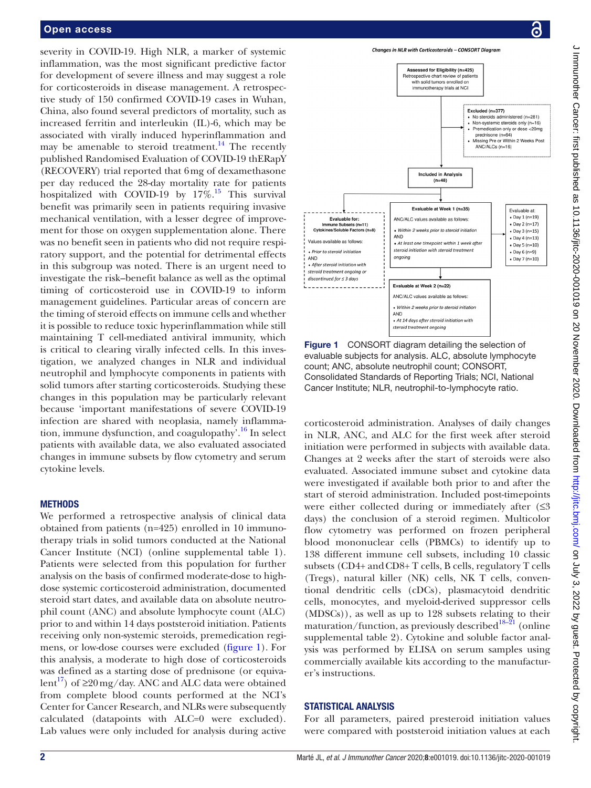## Open access

severity in COVID-19. High NLR, a marker of systemic inflammation, was the most significant predictive factor for development of severe illness and may suggest a role for corticosteroids in disease management. A retrospective study of 150 confirmed COVID-19 cases in Wuhan, China, also found several predictors of mortality, such as increased ferritin and interleukin (IL)-6, which may be associated with virally induced hyperinflammation and may be amenable to steroid treatment.<sup>[14](#page-6-8)</sup> The recently published Randomised Evaluation of COVID-19 thERapY (RECOVERY) trial reported that 6mg of dexamethasone per day reduced the 28-day mortality rate for patients hospitalized with COVID-19 by  $17\%$ .<sup>15</sup> This survival benefit was primarily seen in patients requiring invasive mechanical ventilation, with a lesser degree of improvement for those on oxygen supplementation alone. There was no benefit seen in patients who did not require respiratory support, and the potential for detrimental effects in this subgroup was noted. There is an urgent need to investigate the risk–benefit balance as well as the optimal timing of corticosteroid use in COVID-19 to inform management guidelines. Particular areas of concern are the timing of steroid effects on immune cells and whether it is possible to reduce toxic hyperinflammation while still maintaining T cell-mediated antiviral immunity, which is critical to clearing virally infected cells. In this investigation, we analyzed changes in NLR and individual neutrophil and lymphocyte components in patients with solid tumors after starting corticosteroids. Studying these changes in this population may be particularly relevant because 'important manifestations of severe COVID-19 infection are shared with neoplasia, namely inflammation, immune dysfunction, and coagulopathy'[.16](#page-7-0) In select patients with available data, we also evaluated associated changes in immune subsets by flow cytometry and serum cytokine levels.

## **METHODS**

We performed a retrospective analysis of clinical data obtained from patients (n=425) enrolled in 10 immunotherapy trials in solid tumors conducted at the National Cancer Institute (NCI) [\(online supplemental table 1](https://dx.doi.org/10.1136/jitc-2020-001019)). Patients were selected from this population for further analysis on the basis of confirmed moderate-dose to highdose systemic corticosteroid administration, documented steroid start dates, and available data on absolute neutrophil count (ANC) and absolute lymphocyte count (ALC) prior to and within 14 days poststeroid initiation. Patients receiving only non-systemic steroids, premedication regimens, or low-dose courses were excluded ([figure](#page-1-0) 1). For this analysis, a moderate to high dose of corticosteroids was defined as a starting dose of prednisone (or equiva-lent<sup>[17](#page-7-1)</sup>) of  $\geq 20 \,\text{mg/day}$ . ANC and ALC data were obtained from complete blood counts performed at the NCI's Center for Cancer Research, and NLRs were subsequently calculated (datapoints with ALC=0 were excluded). Lab values were only included for analysis during active





<span id="page-1-0"></span>Figure 1 CONSORT diagram detailing the selection of evaluable subjects for analysis. ALC, absolute lymphocyte count; ANC, absolute neutrophil count; CONSORT, Consolidated Standards of Reporting Trials; NCI, National Cancer Institute; NLR, neutrophil-to-lymphocyte ratio.

corticosteroid administration. Analyses of daily changes in NLR, ANC, and ALC for the first week after steroid initiation were performed in subjects with available data. Changes at 2 weeks after the start of steroids were also evaluated. Associated immune subset and cytokine data were investigated if available both prior to and after the start of steroid administration. Included post-timepoints were either collected during or immediately after  $(≤3)$ days) the conclusion of a steroid regimen. Multicolor flow cytometry was performed on frozen peripheral blood mononuclear cells (PBMCs) to identify up to 138 different immune cell subsets, including 10 classic subsets (CD4+ and CD8+ T cells, B cells, regulatory T cells (Tregs), natural killer (NK) cells, NK T cells, conventional dendritic cells (cDCs), plasmacytoid dendritic cells, monocytes, and myeloid-derived suppressor cells (MDSCs)), as well as up to 128 subsets relating to their maturation/function, as previously described<sup>18–21</sup> (online [supplemental table 2](https://dx.doi.org/10.1136/jitc-2020-001019)). Cytokine and soluble factor analysis was performed by ELISA on serum samples using commercially available kits according to the manufacturer's instructions.

## STATISTICAL ANALYSIS

For all parameters, paired presteroid initiation values were compared with poststeroid initiation values at each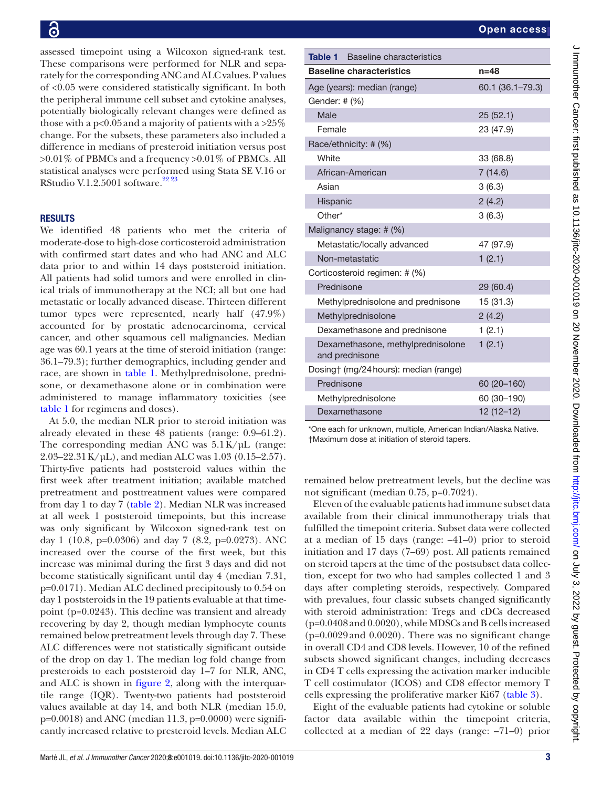assessed timepoint using a Wilcoxon signed-rank test. These comparisons were performed for NLR and separately for the corresponding ANC and ALC values. P values of <0.05 were considered statistically significant. In both the peripheral immune cell subset and cytokine analyses, potentially biologically relevant changes were defined as those with a p<0.05 and a majority of patients with a >25% change. For the subsets, these parameters also included a difference in medians of presteroid initiation versus post >0.01% of PBMCs and a frequency >0.01% of PBMCs. All statistical analyses were performed using Stata SE V.16 or RStudio V.1.2.5001 software.<sup>[22 23](#page-7-3)</sup>

## **RESULTS**

We identified 48 patients who met the criteria of moderate-dose to high-dose corticosteroid administration with confirmed start dates and who had ANC and ALC data prior to and within 14 days poststeroid initiation. All patients had solid tumors and were enrolled in clinical trials of immunotherapy at the NCI; all but one had metastatic or locally advanced disease. Thirteen different tumor types were represented, nearly half (47.9%) accounted for by prostatic adenocarcinoma, cervical cancer, and other squamous cell malignancies. Median age was 60.1 years at the time of steroid initiation (range: 36.1–79.3); further demographics, including gender and race, are shown in [table](#page-2-0) 1. Methylprednisolone, prednisone, or dexamethasone alone or in combination were administered to manage inflammatory toxicities (see [table](#page-2-0) 1 for regimens and doses).

At 5.0, the median NLR prior to steroid initiation was already elevated in these 48 patients (range: 0.9–61.2). The corresponding median ANC was  $5.1 \text{K}/\mu\text{L}$  (range: 2.03–22.31 K/µL), and median ALC was 1.03 (0.15–2.57). Thirty-five patients had poststeroid values within the first week after treatment initiation; available matched pretreatment and posttreatment values were compared from day 1 to day 7 [\(table](#page-3-0) 2). Median NLR was increased at all week 1 poststeroid timepoints, but this increase was only significant by Wilcoxon signed-rank test on day 1 (10.8, p=0.0306) and day 7 (8.2, p=0.0273). ANC increased over the course of the first week, but this increase was minimal during the first 3 days and did not become statistically significant until day 4 (median 7.31, p=0.0171). Median ALC declined precipitously to 0.54 on day 1 poststeroids in the 19 patients evaluable at that timepoint (p=0.0243). This decline was transient and already recovering by day 2, though median lymphocyte counts remained below pretreatment levels through day 7. These ALC differences were not statistically significant outside of the drop on day 1. The median log fold change from presteroids to each poststeroid day 1–7 for NLR, ANC, and ALC is shown in [figure](#page-4-0) 2, along with the interquartile range (IQR). Twenty-two patients had poststeroid values available at day 14, and both NLR (median 15.0,  $p=0.0018$ ) and ANC (median 11.3,  $p=0.0000$ ) were significantly increased relative to presteroid levels. Median ALC

<span id="page-2-0"></span>

| Table 1<br>Baseline characteristics                 |                  |  |  |  |  |
|-----------------------------------------------------|------------------|--|--|--|--|
| <b>Baseline characteristics</b>                     | $n = 48$         |  |  |  |  |
| Age (years): median (range)                         | 60.1 (36.1-79.3) |  |  |  |  |
| Gender: # (%)                                       |                  |  |  |  |  |
| Male                                                | 25(52.1)         |  |  |  |  |
| Female                                              | 23 (47.9)        |  |  |  |  |
| Race/ethnicity: # (%)                               |                  |  |  |  |  |
| White                                               | 33 (68.8)        |  |  |  |  |
| African-American                                    | 7(14.6)          |  |  |  |  |
| Asian                                               | 3(6.3)           |  |  |  |  |
| Hispanic                                            | 2(4.2)           |  |  |  |  |
| Other*                                              | 3(6.3)           |  |  |  |  |
| Malignancy stage: # (%)                             |                  |  |  |  |  |
| Metastatic/locally advanced                         | 47 (97.9)        |  |  |  |  |
| Non-metastatic                                      | 1(2.1)           |  |  |  |  |
| Corticosteroid regimen: # (%)                       |                  |  |  |  |  |
| Prednisone                                          | 29 (60.4)        |  |  |  |  |
| Methylprednisolone and prednisone                   | 15 (31.3)        |  |  |  |  |
| Methylprednisolone                                  | 2(4.2)           |  |  |  |  |
| Dexamethasone and prednisone                        | 1(2.1)           |  |  |  |  |
| Dexamethasone, methylprednisolone<br>and prednisone | 1(2.1)           |  |  |  |  |
| Dosing† (mg/24 hours): median (range)               |                  |  |  |  |  |
| Prednisone                                          | 60 (20-160)      |  |  |  |  |
| Methylprednisolone                                  | 60 (30-190)      |  |  |  |  |
| Dexamethasone                                       | $12(12-12)$      |  |  |  |  |

\*One each for unknown, multiple, American Indian/Alaska Native. †Maximum dose at initiation of steroid tapers.

remained below pretreatment levels, but the decline was not significant (median 0.75, p=0.7024).

Eleven of the evaluable patients had immune subset data available from their clinical immunotherapy trials that fulfilled the timepoint criteria. Subset data were collected at a median of 15 days (range: –41–0) prior to steroid initiation and 17 days (7–69) post. All patients remained on steroid tapers at the time of the postsubset data collection, except for two who had samples collected 1 and 3 days after completing steroids, respectively. Compared with prevalues, four classic subsets changed significantly with steroid administration: Tregs and cDCs decreased (p=0.0408and 0.0020), while MDSCs and B cells increased (p=0.0029and 0.0020). There was no significant change in overall CD4 and CD8 levels. However, 10 of the refined subsets showed significant changes, including decreases in CD4 T cells expressing the activation marker inducible T cell costimulator (ICOS) and CD8 effector memory T cells expressing the proliferative marker Ki67 ([table](#page-5-0) 3).

Eight of the evaluable patients had cytokine or soluble factor data available within the timepoint criteria, collected at a median of 22 days (range: –71–0) prior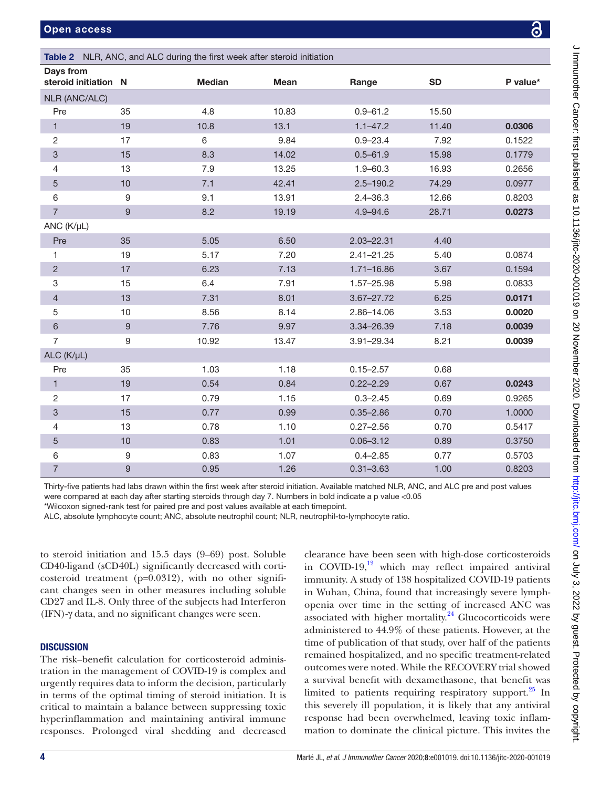| Days from<br>steroid initiation N |                  | <b>Median</b> | <b>Mean</b> | Range          | <b>SD</b> | P value* |
|-----------------------------------|------------------|---------------|-------------|----------------|-----------|----------|
| <b>NLR (ANC/ALC)</b>              |                  |               |             |                |           |          |
| Pre                               | 35               | 4.8           | 10.83       | $0.9 - 61.2$   | 15.50     |          |
| 1                                 | 19               | 10.8          | 13.1        | $1.1 - 47.2$   | 11.40     | 0.0306   |
| 2                                 | 17               | 6             | 9.84        | $0.9 - 23.4$   | 7.92      | 0.1522   |
| $\ensuremath{\mathsf{3}}$         | 15               | 8.3           | 14.02       | $0.5 - 61.9$   | 15.98     | 0.1779   |
| 4                                 | 13               | 7.9           | 13.25       | $1.9 - 60.3$   | 16.93     | 0.2656   |
| 5                                 | 10               | 7.1           | 42.41       | $2.5 - 190.2$  | 74.29     | 0.0977   |
| $\,6\,$                           | 9                | 9.1           | 13.91       | $2.4 - 36.3$   | 12.66     | 0.8203   |
| $\overline{7}$                    | $\boldsymbol{9}$ | 8.2           | 19.19       | $4.9 - 94.6$   | 28.71     | 0.0273   |
| ANC (K/µL)                        |                  |               |             |                |           |          |
| Pre                               | 35               | 5.05          | 6.50        | 2.03-22.31     | 4.40      |          |
| 1                                 | 19               | 5.17          | 7.20        | $2.41 - 21.25$ | 5.40      | 0.0874   |
| $\sqrt{2}$                        | 17               | 6.23          | 7.13        | $1.71 - 16.86$ | 3.67      | 0.1594   |
| $\ensuremath{\mathsf{3}}$         | 15               | 6.4           | 7.91        | 1.57-25.98     | 5.98      | 0.0833   |
| $\overline{4}$                    | 13               | 7.31          | 8.01        | 3.67-27.72     | 6.25      | 0.0171   |
| 5                                 | 10               | 8.56          | 8.14        | 2.86-14.06     | 3.53      | 0.0020   |
| 6                                 | 9                | 7.76          | 9.97        | 3.34-26.39     | 7.18      | 0.0039   |
| 7                                 | 9                | 10.92         | 13.47       | 3.91-29.34     | 8.21      | 0.0039   |
| $ALC$ ( $K/\mu L$ )               |                  |               |             |                |           |          |
| Pre                               | 35               | 1.03          | 1.18        | $0.15 - 2.57$  | 0.68      |          |
| $\mathbf{1}$                      | 19               | 0.54          | 0.84        | $0.22 - 2.29$  | 0.67      | 0.0243   |
| $\sqrt{2}$                        | 17               | 0.79          | 1.15        | $0.3 - 2.45$   | 0.69      | 0.9265   |
| $\ensuremath{\mathsf{3}}$         | 15               | 0.77          | 0.99        | $0.35 - 2.86$  | 0.70      | 1.0000   |
| 4                                 | 13               | 0.78          | 1.10        | $0.27 - 2.56$  | 0.70      | 0.5417   |
| 5                                 | 10               | 0.83          | 1.01        | $0.06 - 3.12$  | 0.89      | 0.3750   |
| 6                                 | $9\,$            | 0.83          | 1.07        | $0.4 - 2.85$   | 0.77      | 0.5703   |
| $\overline{7}$                    | $\mathsf g$      | 0.95          | 1.26        | $0.31 - 3.63$  | 1.00      | 0.8203   |

Thirty-five patients had labs drawn within the first week after steroid initiation. Available matched NLR, ANC, and ALC pre and post values were compared at each day after starting steroids through day 7. Numbers in bold indicate a p value <0.05

\*Wilcoxon signed-rank test for paired pre and post values available at each timepoint.

<span id="page-3-0"></span>Table 2 NLR, ANC, and ALC during the first week after steroid initiation

ALC, absolute lymphocyte count; ANC, absolute neutrophil count; NLR, neutrophil-to-lymphocyte ratio.

to steroid initiation and 15.5 days (9–69) post. Soluble CD40-ligand (sCD40L) significantly decreased with corticosteroid treatment (p=0.0312), with no other significant changes seen in other measures including soluble CD27 and IL-8. Only three of the subjects had Interferon (IFN)-γ data, and no significant changes were seen.

# **DISCUSSION**

The risk–benefit calculation for corticosteroid administration in the management of COVID-19 is complex and urgently requires data to inform the decision, particularly in terms of the optimal timing of steroid initiation. It is critical to maintain a balance between suppressing toxic hyperinflammation and maintaining antiviral immune responses. Prolonged viral shedding and decreased

clearance have been seen with high-dose corticosteroids in COVID-19, $^{12}$  which may reflect impaired antiviral immunity. A study of 138 hospitalized COVID-19 patients in Wuhan, China, found that increasingly severe lymphopenia over time in the setting of increased ANC was associated with higher mortality. $24$  Glucocorticoids were administered to 44.9% of these patients. However, at the time of publication of that study, over half of the patients remained hospitalized, and no specific treatment-related outcomes were noted. While the RECOVERY trial showed a survival benefit with dexamethasone, that benefit was limited to patients requiring respiratory support. $25$  In this severely ill population, it is likely that any antiviral response had been overwhelmed, leaving toxic inflammation to dominate the clinical picture. This invites the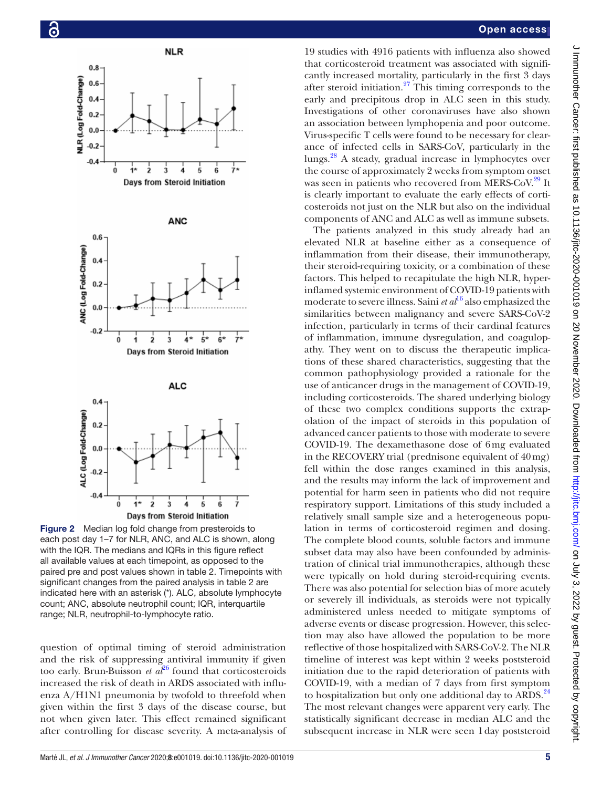

<span id="page-4-0"></span>Figure 2 Median log fold change from presteroids to each post day 1–7 for NLR, ANC, and ALC is shown, along with the IQR. The medians and IQRs in this figure reflect all available values at each timepoint, as opposed to the paired pre and post values shown in [table 2.](#page-3-0) Timepoints with significant changes from the paired analysis in [table 2](#page-3-0) are indicated here with an asterisk (\*). ALC, absolute lymphocyte count; ANC, absolute neutrophil count; IQR, interquartile range; NLR, neutrophil-to-lymphocyte ratio.

question of optimal timing of steroid administration and the risk of suppressing antiviral immunity if given too early. Brun-Buisson *et*  $a^{26}$  $a^{26}$  $a^{26}$  found that corticosteroids increased the risk of death in ARDS associated with influenza A/H1N1 pneumonia by twofold to threefold when given within the first 3 days of the disease course, but not when given later. This effect remained significant after controlling for disease severity. A meta-analysis of

## Open access

19 studies with 4916 patients with influenza also showed that corticosteroid treatment was associated with significantly increased mortality, particularly in the first 3 days after steroid initiation. $27$  This timing corresponds to the early and precipitous drop in ALC seen in this study. Investigations of other coronaviruses have also shown an association between lymphopenia and poor outcome. Virus-specific T cells were found to be necessary for clearance of infected cells in SARS-CoV, particularly in the lungs.[28](#page-7-8) A steady, gradual increase in lymphocytes over the course of approximately 2 weeks from symptom onset was seen in patients who recovered from MERS-CoV.<sup>29</sup> It is clearly important to evaluate the early effects of corticosteroids not just on the NLR but also on the individual components of ANC and ALC as well as immune subsets.

The patients analyzed in this study already had an elevated NLR at baseline either as a consequence of inflammation from their disease, their immunotherapy, their steroid-requiring toxicity, or a combination of these factors. This helped to recapitulate the high NLR, hyperinflamed systemic environment of COVID-19 patients with moderate to severe illness. Saini *et al*<sup>16</sup> also emphasized the similarities between malignancy and severe SARS-CoV-2 infection, particularly in terms of their cardinal features of inflammation, immune dysregulation, and coagulopathy. They went on to discuss the therapeutic implications of these shared characteristics, suggesting that the common pathophysiology provided a rationale for the use of anticancer drugs in the management of COVID-19, including corticosteroids. The shared underlying biology of these two complex conditions supports the extrapolation of the impact of steroids in this population of advanced cancer patients to those with moderate to severe COVID-19. The dexamethasone dose of 6mg evaluated in the RECOVERY trial (prednisone equivalent of 40mg) fell within the dose ranges examined in this analysis, and the results may inform the lack of improvement and potential for harm seen in patients who did not require respiratory support. Limitations of this study included a relatively small sample size and a heterogeneous population in terms of corticosteroid regimen and dosing. The complete blood counts, soluble factors and immune subset data may also have been confounded by administration of clinical trial immunotherapies, although these were typically on hold during steroid-requiring events. There was also potential for selection bias of more acutely or severely ill individuals, as steroids were not typically administered unless needed to mitigate symptoms of adverse events or disease progression. However, this selection may also have allowed the population to be more reflective of those hospitalized with SARS-CoV-2. The NLR timeline of interest was kept within 2 weeks poststeroid initiation due to the rapid deterioration of patients with COVID-19, with a median of 7 days from first symptom to hospitalization but only one additional day to ARDS.<sup>[24](#page-7-4)</sup> The most relevant changes were apparent very early. The statistically significant decrease in median ALC and the subsequent increase in NLR were seen 1day poststeroid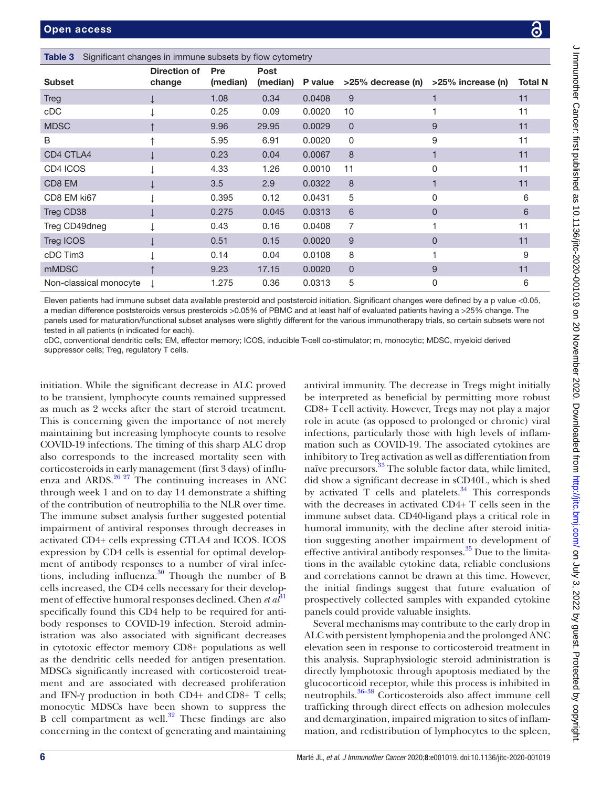| Immunother Cancer: first published as 10.1136/jirc-2020-001019 on 20 November 2020. Downloaded from http:// |
|-------------------------------------------------------------------------------------------------------------|
|                                                                                                             |
|                                                                                                             |
|                                                                                                             |
|                                                                                                             |
|                                                                                                             |
|                                                                                                             |
|                                                                                                             |
|                                                                                                             |
|                                                                                                             |
|                                                                                                             |
|                                                                                                             |
|                                                                                                             |
|                                                                                                             |
|                                                                                                             |
|                                                                                                             |
|                                                                                                             |
|                                                                                                             |
|                                                                                                             |
|                                                                                                             |
|                                                                                                             |
|                                                                                                             |
|                                                                                                             |
|                                                                                                             |
|                                                                                                             |
|                                                                                                             |
|                                                                                                             |
|                                                                                                             |
|                                                                                                             |
| くうくらく                                                                                                       |
|                                                                                                             |
|                                                                                                             |
| .<br>י                                                                                                      |
|                                                                                                             |
|                                                                                                             |
|                                                                                                             |

<span id="page-5-0"></span>

| <b>Subset</b>          | Direction of<br>change | Pre<br>(median) | Post<br>(median) | P value | >25% decrease (n) | >25% increase (n) | <b>Total N</b> |  |
|------------------------|------------------------|-----------------|------------------|---------|-------------------|-------------------|----------------|--|
| <b>Treg</b>            |                        | 1.08            | 0.34             | 0.0408  | 9                 |                   | 11             |  |
| cDC                    |                        | 0.25            | 0.09             | 0.0020  | 10                |                   | 11             |  |
| <b>MDSC</b>            |                        | 9.96            | 29.95            | 0.0029  | $\Omega$          | 9                 | 11             |  |
| B                      |                        | 5.95            | 6.91             | 0.0020  | $\mathbf{0}$      | 9                 | 11             |  |
| CD4 CTLA4              |                        | 0.23            | 0.04             | 0.0067  | 8                 | 1                 | 11             |  |
| CD4 ICOS               |                        | 4.33            | 1.26             | 0.0010  | 11                | 0                 | 11             |  |
| CD8 EM                 |                        | 3.5             | 2.9              | 0.0322  | 8                 | 1                 | 11             |  |
| CD8 EM ki67            |                        | 0.395           | 0.12             | 0.0431  | 5                 | 0                 | 6              |  |
| Treg CD38              |                        | 0.275           | 0.045            | 0.0313  | 6                 | $\mathbf{0}$      | 6              |  |
| Treg CD49dneg          |                        | 0.43            | 0.16             | 0.0408  | 7                 |                   | 11             |  |
| Treg ICOS              |                        | 0.51            | 0.15             | 0.0020  | 9                 | $\Omega$          | 11             |  |
| cDC Tim3               |                        | 0.14            | 0.04             | 0.0108  | 8                 |                   | 9              |  |
| mMDSC                  |                        | 9.23            | 17.15            | 0.0020  | $\mathbf{0}$      | 9                 | 11             |  |
| Non-classical monocyte | $\perp$                | 1.275           | 0.36             | 0.0313  | 5                 | 0                 | 6              |  |
|                        |                        |                 |                  |         |                   |                   |                |  |

Eleven patients had immune subset data available presteroid and poststeroid initiation. Significant changes were defined by a p value <0.05, a median difference poststeroids versus presteroids >0.05% of PBMC and at least half of evaluated patients having a >25% change. The panels used for maturation/functional subset analyses were slightly different for the various immunotherapy trials, so certain subsets were not tested in all patients (n indicated for each).

cDC, conventional dendritic cells; EM, effector memory; ICOS, inducible T-cell co-stimulator; m, monocytic; MDSC, myeloid derived suppressor cells; Treg, regulatory T cells.

initiation. While the significant decrease in ALC proved to be transient, lymphocyte counts remained suppressed as much as 2 weeks after the start of steroid treatment. This is concerning given the importance of not merely maintaining but increasing lymphocyte counts to resolve COVID-19 infections. The timing of this sharp ALC drop also corresponds to the increased mortality seen with corticosteroids in early management (first 3 days) of influenza and ARDS. $26 27$  The continuing increases in ANC through week 1 and on to day 14 demonstrate a shifting of the contribution of neutrophilia to the NLR over time. The immune subset analysis further suggested potential impairment of antiviral responses through decreases in activated CD4+ cells expressing CTLA4 and ICOS. ICOS expression by CD4 cells is essential for optimal development of antibody responses to a number of viral infections, including influenza.[30](#page-7-10) Though the number of B cells increased, the CD4 cells necessary for their development of effective humoral responses declined. Chen *et al*<sup>81</sup> specifically found this CD4 help to be required for antibody responses to COVID-19 infection. Steroid administration was also associated with significant decreases in cytotoxic effector memory CD8+ populations as well as the dendritic cells needed for antigen presentation. MDSCs significantly increased with corticosteroid treatment and are associated with decreased proliferation and IFN-γ production in both CD4+ andCD8+ T cells; monocytic MDSCs have been shown to suppress the B cell compartment as well. $32$  These findings are also concerning in the context of generating and maintaining

antiviral immunity. The decrease in Tregs might initially be interpreted as beneficial by permitting more robust CD8+ Tcell activity. However, Tregs may not play a major role in acute (as opposed to prolonged or chronic) viral infections, particularly those with high levels of inflammation such as COVID-19. The associated cytokines are inhibitory to Treg activation as well as differentiation from naïve precursors.<sup>33</sup> The soluble factor data, while limited, did show a significant decrease in sCD40L, which is shed by activated  $T$  cells and platelets.<sup>34</sup> This corresponds with the decreases in activated CD4+ T cells seen in the immune subset data. CD40-ligand plays a critical role in humoral immunity, with the decline after steroid initiation suggesting another impairment to development of effective antiviral antibody responses.<sup>35</sup> Due to the limitations in the available cytokine data, reliable conclusions and correlations cannot be drawn at this time. However, the initial findings suggest that future evaluation of prospectively collected samples with expanded cytokine panels could provide valuable insights.

Several mechanisms may contribute to the early drop in ALC with persistent lymphopenia and the prolonged ANC elevation seen in response to corticosteroid treatment in this analysis. Supraphysiologic steroid administration is directly lymphotoxic through apoptosis mediated by the glucocorticoid receptor, while this process is inhibited in neutrophils.[36–38](#page-7-16) Corticosteroids also affect immune cell trafficking through direct effects on adhesion molecules and demargination, impaired migration to sites of inflammation, and redistribution of lymphocytes to the spleen,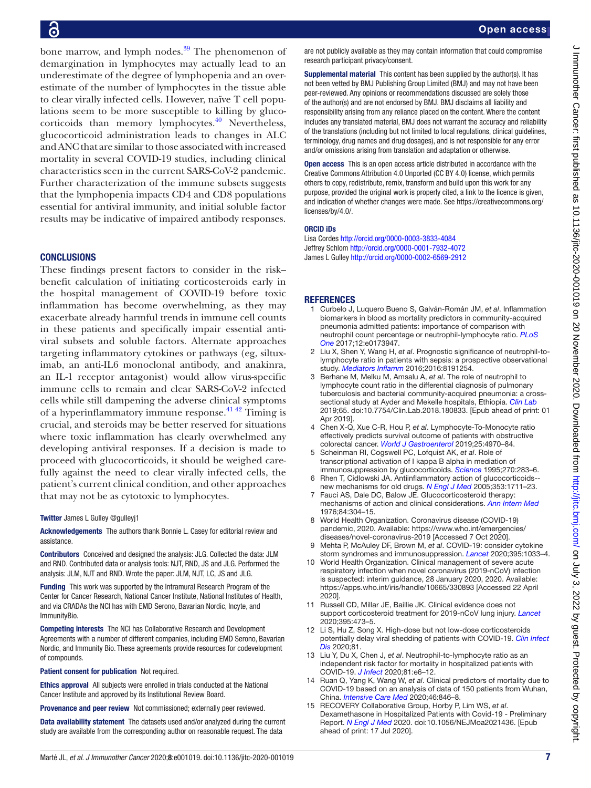bone marrow, and lymph nodes. $39$  The phenomenon of demargination in lymphocytes may actually lead to an underestimate of the degree of lymphopenia and an overestimate of the number of lymphocytes in the tissue able to clear virally infected cells. However, naïve T cell populations seem to be more susceptible to killing by glucocorticoids than memory lymphocytes. $40$  Nevertheless, glucocorticoid administration leads to changes in ALC and ANC that are similar to those associated with increased mortality in several COVID-19 studies, including clinical characteristics seen in the current SARS-CoV-2 pandemic. Further characterization of the immune subsets suggests that the lymphopenia impacts CD4 and CD8 populations essential for antiviral immunity, and initial soluble factor results may be indicative of impaired antibody responses.

## **CONCLUSIONS**

These findings present factors to consider in the risk– benefit calculation of initiating corticosteroids early in the hospital management of COVID-19 before toxic inflammation has become overwhelming, as they may exacerbate already harmful trends in immune cell counts in these patients and specifically impair essential antiviral subsets and soluble factors. Alternate approaches targeting inflammatory cytokines or pathways (eg, siltuximab, an anti-IL6 monoclonal antibody, and anakinra, an IL-1 receptor antagonist) would allow virus-specific immune cells to remain and clear SARS-CoV-2 infected cells while still dampening the adverse clinical symptoms of a hyperinflammatory immune response.<sup>41 42</sup> Timing is crucial, and steroids may be better reserved for situations where toxic inflammation has clearly overwhelmed any developing antiviral responses. If a decision is made to proceed with glucocorticoids, it should be weighed carefully against the need to clear virally infected cells, the patient's current clinical condition, and other approaches that may not be as cytotoxic to lymphocytes.

## Twitter James L Gulley [@gulleyj1](https://twitter.com/gulleyj1)

Acknowledgements The authors thank Bonnie L. Casey for editorial review and assistance.

Contributors Conceived and designed the analysis: JLG. Collected the data: JLM and RND. Contributed data or analysis tools: NJT, RND, JS and JLG. Performed the analysis: JLM, NJT and RND. Wrote the paper: JLM, NJT, LC, JS and JLG.

Funding This work was supported by the Intramural Research Program of the Center for Cancer Research, National Cancer Institute, National Institutes of Health, and via CRADAs the NCI has with EMD Serono, Bavarian Nordic, Incyte, and ImmunityBio.

Competing interests The NCI has Collaborative Research and Development Agreements with a number of different companies, including EMD Serono, Bavarian Nordic, and Immunity Bio. These agreements provide resources for codevelopment of compounds.

Patient consent for publication Not required.

Ethics approval All subjects were enrolled in trials conducted at the National Cancer Institute and approved by its Institutional Review Board.

Provenance and peer review Not commissioned; externally peer reviewed.

Data availability statement The datasets used and/or analyzed during the current study are available from the corresponding author on reasonable request. The data

are not publicly available as they may contain information that could compromise research participant privacy/consent.

Supplemental material This content has been supplied by the author(s). It has not been vetted by BMJ Publishing Group Limited (BMJ) and may not have been peer-reviewed. Any opinions or recommendations discussed are solely those of the author(s) and are not endorsed by BMJ. BMJ disclaims all liability and responsibility arising from any reliance placed on the content. Where the content includes any translated material, BMJ does not warrant the accuracy and reliability of the translations (including but not limited to local regulations, clinical guidelines, terminology, drug names and drug dosages), and is not responsible for any error and/or omissions arising from translation and adaptation or otherwise.

Open access This is an open access article distributed in accordance with the Creative Commons Attribution 4.0 Unported (CC BY 4.0) license, which permits others to copy, redistribute, remix, transform and build upon this work for any purpose, provided the original work is properly cited, a link to the licence is given, and indication of whether changes were made. See [https://creativecommons.org/](https://creativecommons.org/licenses/by/4.0/) [licenses/by/4.0/](https://creativecommons.org/licenses/by/4.0/).

#### ORCID iDs

Lisa Cordes<http://orcid.org/0000-0003-3833-4084> Jeffrey Schlom<http://orcid.org/0000-0001-7932-4072> James L Gulley <http://orcid.org/0000-0002-6569-2912>

### **REFERENCES**

- <span id="page-6-0"></span>1 Curbelo J, Luquero Bueno S, Galván-Román JM, *et al*. Inflammation biomarkers in blood as mortality predictors in community-acquired pneumonia admitted patients: importance of comparison with neutrophil count percentage or neutrophil-lymphocyte ratio. *[PLoS](http://dx.doi.org/10.1371/journal.pone.0173947)  [One](http://dx.doi.org/10.1371/journal.pone.0173947)* 2017;12:e0173947.
- 2 Liu X, Shen Y, Wang H, *et al*. Prognostic significance of neutrophil-tolymphocyte ratio in patients with sepsis: a prospective observational study. *[Mediators Inflamm](http://dx.doi.org/10.1155/2016/8191254)* 2016;2016:8191254.
- 3 Berhane M, Melku M, Amsalu A, *et al*. The role of neutrophil to lymphocyte count ratio in the differential diagnosis of pulmonary tuberculosis and bacterial community-acquired pneumonia: a crosssectional study at Ayder and Mekelle hospitals, Ethiopia. *[Clin Lab](http://dx.doi.org/10.7754/Clin.Lab.2018.180833)* 2019;65. doi:10.7754/Clin.Lab.2018.180833. [Epub ahead of print: 01 Apr 2019].
- 4 Chen X-Q, Xue C-R, Hou P, *et al*. Lymphocyte-To-Monocyte ratio effectively predicts survival outcome of patients with obstructive colorectal cancer. *[World J Gastroenterol](http://dx.doi.org/10.3748/wjg.v25.i33.4970)* 2019;25:4970–84.
- <span id="page-6-1"></span>5 Scheinman RI, Cogswell PC, Lofquist AK, *et al*. Role of transcriptional activation of I kappa B alpha in mediation of immunosuppression by glucocorticoids. *[Science](http://dx.doi.org/10.1126/science.270.5234.283)* 1995;270:283–6.
- 6 Rhen T, Cidlowski JA. Antiinflammatory action of glucocorticoids- new mechanisms for old drugs. *[N Engl J Med](http://dx.doi.org/10.1056/NEJMra050541)* 2005;353:1711–23.
- 7 Fauci AS, Dale DC, Balow JE. Glucocorticosteroid therapy: mechanisms of action and clinical considerations. *[Ann Intern Med](http://dx.doi.org/10.7326/0003-4819-84-3-304)* 1976;84:304–15.
- <span id="page-6-2"></span>8 World Health Organization. Coronavirus disease (COVID-19) pandemic, 2020. Available: [https://www.who.int/emergencies/](https://www.who.int/emergencies/diseases/novel-coronavirus-2019) [diseases/novel-coronavirus-2019](https://www.who.int/emergencies/diseases/novel-coronavirus-2019) [Accessed 7 Oct 2020].
- <span id="page-6-3"></span>9 Mehta P, McAuley DF, Brown M, *et al*. COVID-19: consider cytokine storm syndromes and immunosuppression. *[Lancet](http://dx.doi.org/10.1016/S0140-6736(20)30628-0)* 2020;395:1033–4.
- <span id="page-6-4"></span>10 World Health Organization. Clinical management of severe acute respiratory infection when novel coronavirus (2019-nCoV) infection is suspected: interim guidance, 28 January 2020, 2020. Available: <https://apps.who.int/iris/handle/10665/330893> [Accessed 22 April 2020].
- <span id="page-6-5"></span>11 Russell CD, Millar JE, Baillie JK. Clinical evidence does not support corticosteroid treatment for 2019-nCoV lung injury. *[Lancet](http://dx.doi.org/10.1016/S0140-6736(20)30317-2)* 2020;395:473–5.
- <span id="page-6-6"></span>12 Li S, Hu Z, Song X. High-dose but not low-dose corticosteroids potentially delay viral shedding of patients with COVID-19. *[Clin Infect](http://dx.doi.org/10.1093/cid/ciaa829)  [Dis](http://dx.doi.org/10.1093/cid/ciaa829)* 2020;81.
- <span id="page-6-7"></span>13 Liu Y, Du X, Chen J, *et al*. Neutrophil-to-lymphocyte ratio as an independent risk factor for mortality in hospitalized patients with COVID-19. *[J Infect](http://dx.doi.org/10.1016/j.jinf.2020.04.002)* 2020;81:e6–12.
- <span id="page-6-8"></span>14 Ruan Q, Yang K, Wang W, *et al*. Clinical predictors of mortality due to COVID-19 based on an analysis of data of 150 patients from Wuhan, China. *[Intensive Care Med](http://dx.doi.org/10.1007/s00134-020-05991-x)* 2020;46:846–8.
- <span id="page-6-9"></span>15 RECOVERY Collaborative Group, Horby P, Lim WS, *et al*. Dexamethasone in Hospitalized Patients with Covid-19 - Preliminary Report. *[N Engl J Med](http://dx.doi.org/10.1056/NEJMoa2021436)* 2020. doi:10.1056/NEJMoa2021436. [Epub ahead of print: 17 Jul 2020].